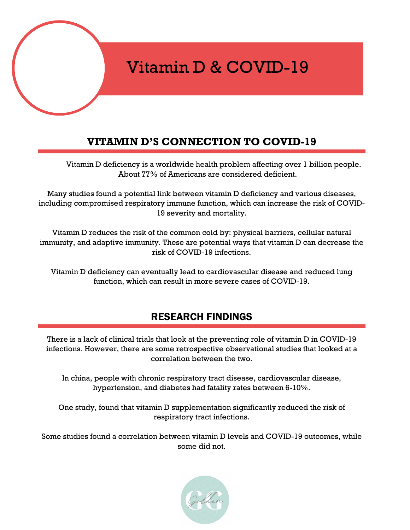# Vitamin D & COVID-19

### **VITAMIN D'S CONNECTION TO COVID-19**

D

Vitamin D deficiency is a worldwide health problem affecting over 1 billion people. About 77% of Americans are considered deficient.

Many studies found a potential link between vitamin D deficiency and various diseases, including compromised respiratory immune function, which can increase the risk of COVID-19 severity and mortality.

Vitamin D reduces the risk of the common cold by: physical barriers, cellular natural immunity, and adaptive immunity. These are potential ways that vitamin D can decrease the risk of COVID-19 infections.

Vitamin D deficiency can eventually lead to cardiovascular disease and reduced lung function, which can result in more severe cases of COVID-19.

### RESEARCH FINDINGS

There is a lack of clinical trials that look at the preventing role of vitamin D in COVID-19 infections. However, there are some retrospective observational studies that looked at a correlation between the two.

In china, people with chronic respiratory tract disease, cardiovascular disease, hypertension, and diabetes had fatality rates between 6-10%.

One study, found that vitamin D supplementation significantly reduced the risk of respiratory tract infections.

Some studies found a correlation between vitamin D levels and COVID-19 outcomes, while some did not.